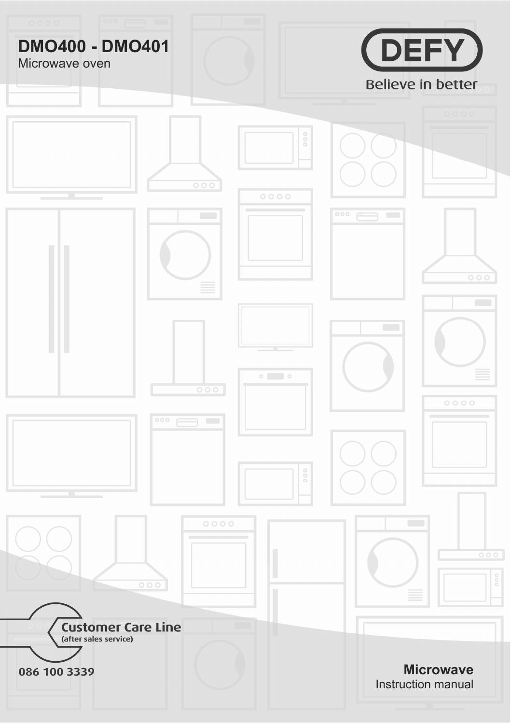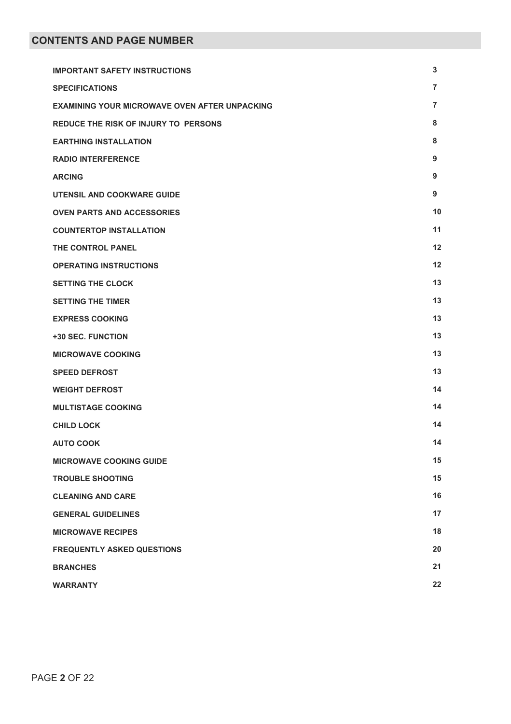| <b>IMPORTANT SAFETY INSTRUCTIONS</b>          | 3  |
|-----------------------------------------------|----|
| <b>SPECIFICATIONS</b>                         | 7  |
| EXAMINING YOUR MICROWAVE OVEN AFTER UNPACKING | 7  |
| REDUCE THE RISK OF INJURY TO PERSONS          | 8  |
| <b>EARTHING INSTALLATION</b>                  | 8  |
| <b>RADIO INTERFERENCE</b>                     | 9  |
| <b>ARCING</b>                                 | 9  |
| UTENSIL AND COOKWARE GUIDE                    | 9  |
| <b>OVEN PARTS AND ACCESSORIES</b>             | 10 |
| <b>COUNTERTOP INSTALLATION</b>                | 11 |
| THE CONTROL PANEL                             | 12 |
| <b>OPERATING INSTRUCTIONS</b>                 | 12 |
| <b>SETTING THE CLOCK</b>                      | 13 |
| <b>SETTING THE TIMER</b>                      | 13 |
| <b>EXPRESS COOKING</b>                        | 13 |
| +30 SEC. FUNCTION                             | 13 |
| <b>MICROWAVE COOKING</b>                      | 13 |
| <b>SPEED DEFROST</b>                          | 13 |
| <b>WEIGHT DEFROST</b>                         | 14 |
| <b>MULTISTAGE COOKING</b>                     | 14 |
| <b>CHILD LOCK</b>                             | 14 |
| <b>AUTO COOK</b>                              | 14 |
| <b>MICROWAVE COOKING GUIDE</b>                | 15 |
| <b>TROUBLE SHOOTING</b>                       | 15 |
| <b>CLEANING AND CARE</b>                      | 16 |
| <b>GENERAL GUIDELINES</b>                     | 17 |
| <b>MICROWAVE RECIPES</b>                      | 18 |
| <b>FREQUENTLY ASKED QUESTIONS</b>             | 20 |
| <b>BRANCHES</b>                               | 21 |
| <b>WARRANTY</b>                               | 22 |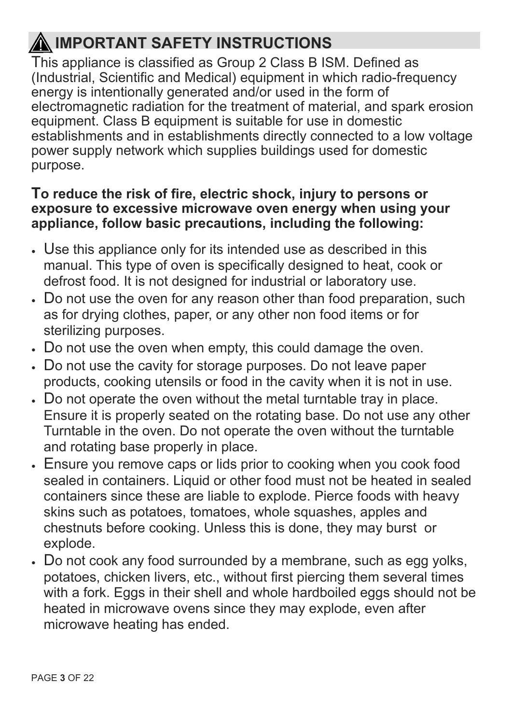# **IMPORTANT SAFETY INSTRUCTIONS**

This appliance is classified as Group 2 Class B ISM. Defined as (Industrial, Scientific and Medical) equipment in which radio-frequency energy is intentionally generated and/or used in the form of electromagnetic radiation for the treatment of material, and spark erosion equipment. Class B equipment is suitable for use in domestic establishments and in establishments directly connected to a low voltage power supply network which supplies buildings used for domestic purpose.

## **To reduce the risk of fire, electric shock, injury to persons or exposure to excessive microwave oven energy when using your appliance, follow basic precautions, including the following:**

- $\cdot$  Use this appliance only for its intended use as described in this manual. This type of oven is specifically designed to heat, cook or defrost food. It is not designed for industrial or laboratory use.
- Do not use the oven for any reason other than food preparation, such as for drying clothes, paper, or any other non food items or for sterilizing purposes.
- Do not use the oven when empty, this could damage the oven.
- Do not use the cavity for storage purposes. Do not leave paper products, cooking utensils or food in the cavity when it is not in use.
- Do not operate the oven without the metal turntable tray in place. Ensure it is properly seated on the rotating base. Do not use any other Turntable in the oven. Do not operate the oven without the turntable and rotating base properly in place.
- $\cdot$  Ensure you remove caps or lids prior to cooking when you cook food sealed in containers. Liquid or other food must not be heated in sealed containers since these are liable to explode. Pierce foods with heavy skins such as potatoes, tomatoes, whole squashes, apples and chestnuts before cooking. Unless this is done, they may burst or explode.
- Do not cook any food surrounded by a membrane, such as egg yolks, potatoes, chicken livers, etc., without first piercing them several times with a fork. Eggs in their shell and whole hardboiled eggs should not be heated in microwave ovens since they may explode, even after microwave heating has ended.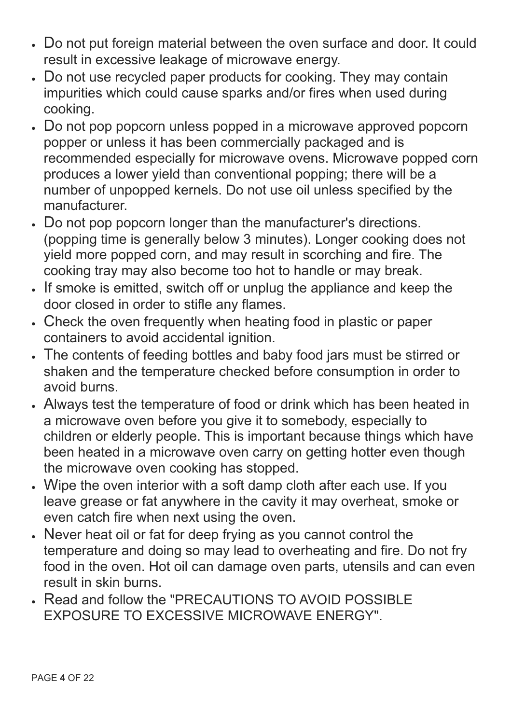- x Do not put foreign material between the oven surface and door. It could result in excessive leakage of microwave energy.
- Do not use recycled paper products for cooking. They may contain impurities which could cause sparks and/or fires when used during cooking.
- Do not pop popcorn unless popped in a microwave approved popcorn popper or unless it has been commercially packaged and is recommended especially for microwave ovens. Microwave popped corn produces a lower yield than conventional popping; there will be a number of unpopped kernels. Do not use oil unless specified by the manufacturer.
- Do not pop popcorn longer than the manufacturer's directions. (popping time is generally below 3 minutes). Longer cooking does not yield more popped corn, and may result in scorching and fire. The cooking tray may also become too hot to handle or may break.
- If smoke is emitted, switch off or unplug the appliance and keep the door closed in order to stifle any flames.
- Check the oven frequently when heating food in plastic or paper containers to avoid accidental ignition.
- The contents of feeding bottles and baby food jars must be stirred or shaken and the temperature checked before consumption in order to avoid burns.
- x Always test the temperature of food or drink which has been heated in a microwave oven before you give it to somebody, especially to children or elderly people. This is important because things which have been heated in a microwave oven carry on getting hotter even though the microwave oven cooking has stopped.
- Wipe the oven interior with a soft damp cloth after each use. If you leave grease or fat anywhere in the cavity it may overheat, smoke or even catch fire when next using the oven.
- x Never heat oil or fat for deep frying as you cannot control the temperature and doing so may lead to overheating and fire. Do not fry food in the oven. Hot oil can damage oven parts, utensils and can even result in skin burns.
- x Read and follow the "PRECAUTIONS TO AVOID POSSIBLE EXPOSURE TO EXCESSIVE MICROWAVE ENERGY".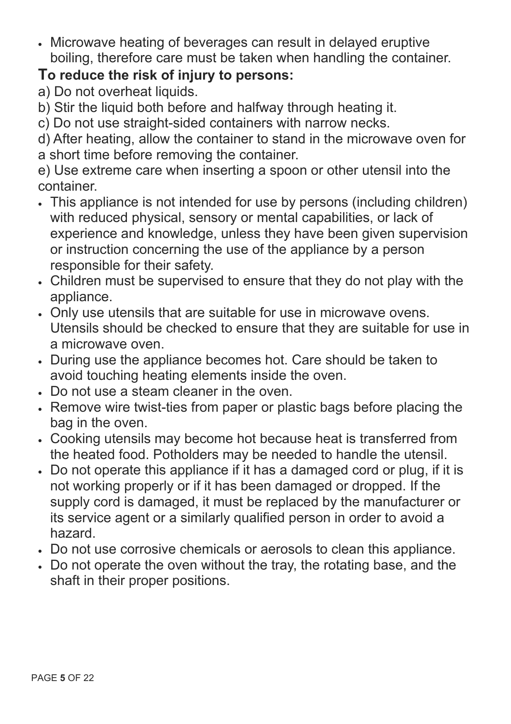$\cdot$  Microwave heating of beverages can result in delayed eruptive boiling, therefore care must be taken when handling the container.

## **To reduce the risk of injury to persons:**

- a) Do not overheat liquids.
- b) Stir the liquid both before and halfway through heating it.

c) Do not use straight-sided containers with narrow necks.

d) After heating, allow the container to stand in the microwave oven for a short time before removing the container.

e) Use extreme care when inserting a spoon or other utensil into the container.

- This appliance is not intended for use by persons (including children) with reduced physical, sensory or mental capabilities, or lack of experience and knowledge, unless they have been given supervision or instruction concerning the use of the appliance by a person responsible for their safety.
- . Children must be supervised to ensure that they do not play with the appliance.
- x Only use utensils that are suitable for use in microwave ovens. Utensils should be checked to ensure that they are suitable for use in a microwave oven.
- x During use the appliance becomes hot. Care should be taken to avoid touching heating elements inside the oven.
- x Do not use a steam cleaner in the oven.
- Remove wire twist-ties from paper or plastic bags before placing the bag in the oven.
- Cooking utensils may become hot because heat is transferred from the heated food. Potholders may be needed to handle the utensil.
- Do not operate this appliance if it has a damaged cord or plug, if it is not working properly or if it has been damaged or dropped. If the supply cord is damaged, it must be replaced by the manufacturer or its service agent or a similarly qualified person in order to avoid a hazard.
- Do not use corrosive chemicals or aerosols to clean this appliance.
- Do not operate the oven without the tray, the rotating base, and the shaft in their proper positions.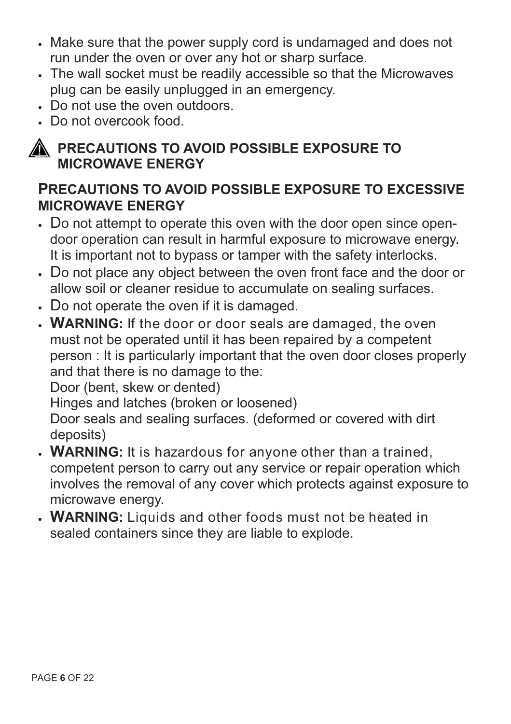- Make sure that the power supply cord is undamaged and does not run under the oven or over any hot or sharp surface.
- The wall socket must be readily accessible so that the Microwaves plug can be easily unplugged in an emergency.
- x Do not use the oven outdoors.
- x Do not overcook food.



# **PRECAUTIONS TO AVOID POSSIBLE EXPOSURE TO MICROWAVE ENERGY**

# **PRECAUTIONS TO AVOID POSSIBLE EXPOSURE TO EXCESSIVE MICROWAVE ENERGY**

- Do not attempt to operate this oven with the door open since opendoor operation can result in harmful exposure to microwave energy. It is important not to bypass or tamper with the safety interlocks.
- Do not place any object between the oven front face and the door or allow soil or cleaner residue to accumulate on sealing surfaces.
- Do not operate the oven if it is damaged.
- x **WARNING:** If the door or door seals are damaged, the oven must not be operated until it has been repaired by a competent person : It is particularly important that the oven door closes properly and that there is no damage to the:

Door (bent, skew or dented)

Hinges and latches (broken or loosened)

Door seals and sealing surfaces. (deformed or covered with dirt deposits)

- x **WARNING:** It is hazardous for anyone other than a trained, competent person to carry out any service or repair operation which involves the removal of any cover which protects against exposure to microwave energy.
- x **WARNING:** Liquids and other foods must not be heated in sealed containers since they are liable to explode.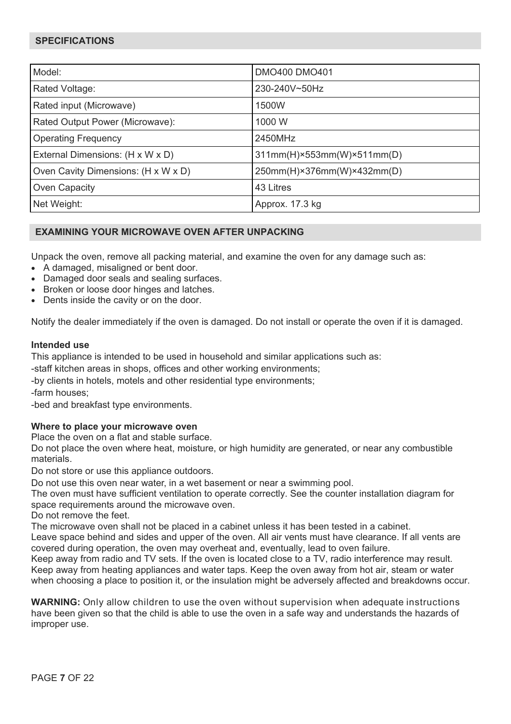| Model:                              | <b>DMO400 DMO401</b>       |
|-------------------------------------|----------------------------|
| Rated Voltage:                      | 230-240V~50Hz              |
| Rated input (Microwave)             | 1500W                      |
| Rated Output Power (Microwave):     | 1000 W                     |
| <b>Operating Frequency</b>          | 2450MHz                    |
| External Dimensions: (H x W x D)    | 311mm(H)×553mm(W)×511mm(D) |
| Oven Cavity Dimensions: (H x W x D) | 250mm(H)×376mm(W)×432mm(D) |
| Oven Capacity                       | 43 Litres                  |
| Net Weight:                         | Approx. 17.3 kg            |

## **EXAMINING YOUR MICROWAVE OVEN AFTER UNPACKING**

Unpack the oven, remove all packing material, and examine the oven for any damage such as:

- A damaged, misaligned or bent door.
- Damaged door seals and sealing surfaces.
- Broken or loose door hinges and latches.
- Dents inside the cavity or on the door.

Notify the dealer immediately if the oven is damaged. Do not install or operate the oven if it is damaged.

#### **Intended use**

This appliance is intended to be used in household and similar applications such as:

-staff kitchen areas in shops, offices and other working environments;

-by clients in hotels, motels and other residential type environments;

-farm houses;

-bed and breakfast type environments.

## **Where to place your microwave oven**

Place the oven on a flat and stable surface.

Do not place the oven where heat, moisture, or high humidity are generated, or near any combustible materials.

Do not store or use this appliance outdoors.

Do not use this oven near water, in a wet basement or near a swimming pool.

The oven must have sufficient ventilation to operate correctly. See the counter installation diagram for space requirements around the microwave oven.

Do not remove the feet.

The microwave oven shall not be placed in a cabinet unless it has been tested in a cabinet.

Leave space behind and sides and upper of the oven. All air vents must have clearance. If all vents are covered during operation, the oven may overheat and, eventually, lead to oven failure.

Keep away from radio and TV sets. If the oven is located close to a TV, radio interference may result. Keep away from heating appliances and water taps. Keep the oven away from hot air, steam or water when choosing a place to position it, or the insulation might be adversely affected and breakdowns occur.

**WARNING:** Only allow children to use the oven without supervision when adequate instructions have been given so that the child is able to use the oven in a safe way and understands the hazards of improper use.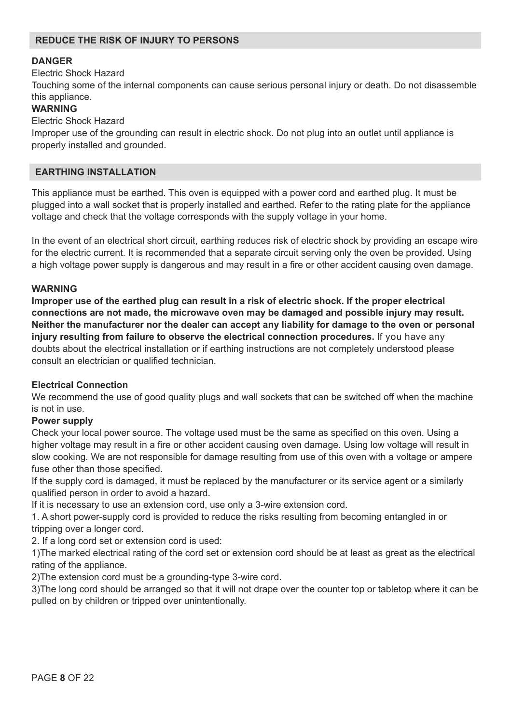## **REDUCE THE RISK OF INJURY TO PERSONS**

## **DANGER**

Electric Shock Hazard

Touching some of the internal components can cause serious personal injury or death. Do not disassemble this appliance.

## **WARNING**

Electric Shock Hazard

Improper use of the grounding can result in electric shock. Do not plug into an outlet until appliance is properly installed and grounded.

## **EARTHING INSTALLATION**

This appliance must be earthed. This oven is equipped with a power cord and earthed plug. It must be plugged into a wall socket that is properly installed and earthed. Refer to the rating plate for the appliance voltage and check that the voltage corresponds with the supply voltage in your home.

In the event of an electrical short circuit, earthing reduces risk of electric shock by providing an escape wire for the electric current. It is recommended that a separate circuit serving only the oven be provided. Using a high voltage power supply is dangerous and may result in a fire or other accident causing oven damage.

## **WARNING**

**Improper use of the earthed plug can result in a risk of electric shock. If the proper electrical connections are not made, the microwave oven may be damaged and possible injury may result. Neither the manufacturer nor the dealer can accept any liability for damage to the oven or personal injury resulting from failure to observe the electrical connection procedures.** If you have any doubts about the electrical installation or if earthing instructions are not completely understood please consult an electrician or qualified technician.

## **Electrical Connection**

We recommend the use of good quality plugs and wall sockets that can be switched off when the machine is not in use.

## **Power supply**

Check your local power source. The voltage used must be the same as specified on this oven. Using a higher voltage may result in a fire or other accident causing oven damage. Using low voltage will result in slow cooking. We are not responsible for damage resulting from use of this oven with a voltage or ampere fuse other than those specified.

If the supply cord is damaged, it must be replaced by the manufacturer or its service agent or a similarly qualified person in order to avoid a hazard.

If it is necessary to use an extension cord, use only a 3-wire extension cord.

1. A short power-supply cord is provided to reduce the risks resulting from becoming entangled in or tripping over a longer cord.

2. If a long cord set or extension cord is used:

1)The marked electrical rating of the cord set or extension cord should be at least as great as the electrical rating of the appliance.

2)The extension cord must be a grounding-type 3-wire cord.

3)The long cord should be arranged so that it will not drape over the counter top or tabletop where it can be pulled on by children or tripped over unintentionally.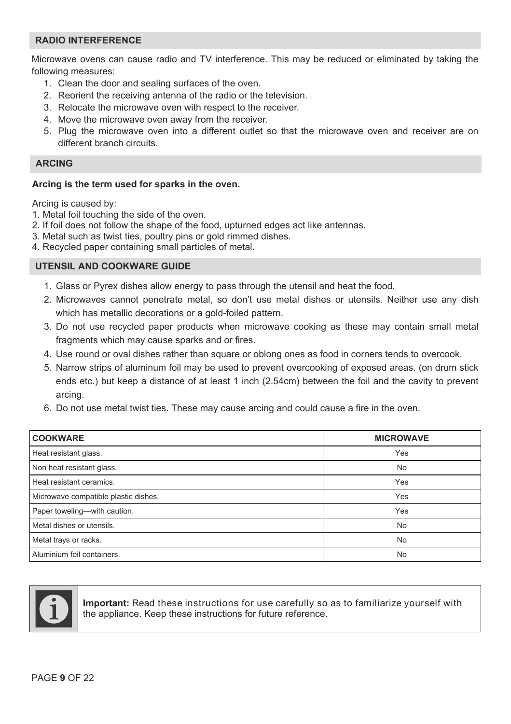## **RADIO INTERFERENCE**

Microwave ovens can cause radio and TV interference. This may be reduced or eliminated by taking the following measures:

- 1. Clean the door and sealing surfaces of the oven.
- 2. Reorient the receiving antenna of the radio or the television.
- 3. Relocate the microwave oven with respect to the receiver.
- 4. Move the microwave oven away from the receiver.
- 5. Plug the microwave oven into a different outlet so that the microwave oven and receiver are on different branch circuits.

## **ARCING**

#### **Arcing is the term used for sparks in the oven.**

Arcing is caused by:

- 1. Metal foil touching the side of the oven.
- 2. If foil does not follow the shape of the food, upturned edges act like antennas.
- 3. Metal such as twist ties, poultry pins or gold rimmed dishes.
- 4. Recycled paper containing small particles of metal.

## **UTENSIL AND COOKWARE GUIDE**

- 1. Glass or Pyrex dishes allow energy to pass through the utensil and heat the food.
- 2. Microwaves cannot penetrate metal, so don't use metal dishes or utensils. Neither use any dish which has metallic decorations or a gold-foiled pattern.
- 3. Do not use recycled paper products when microwave cooking as these may contain small metal fragments which may cause sparks and or fires.
- 4. Use round or oval dishes rather than square or oblong ones as food in corners tends to overcook.
- 5. Narrow strips of aluminum foil may be used to prevent overcooking of exposed areas. (on drum stick ends etc.) but keep a distance of at least 1 inch (2.54cm) between the foil and the cavity to prevent arcing.
- 6. Do not use metal twist ties. These may cause arcing and could cause a fire in the oven.

| <b>COOKWARE</b>                      | <b>MICROWAVE</b> |
|--------------------------------------|------------------|
| Heat resistant glass.                | Yes              |
| Non heat resistant glass.            | <b>No</b>        |
| Heat resistant ceramics.             | Yes              |
| Microwave compatible plastic dishes. | Yes              |
| Paper toweling-with caution.         | Yes              |
| Metal dishes or utensils.            | <b>No</b>        |
| Metal trays or racks.                | <b>No</b>        |
| Aluminium foil containers.           | <b>No</b>        |



**Important:** Read these instructions for use carefully so as to familiarize yourself with the appliance. Keep these instructions for future reference.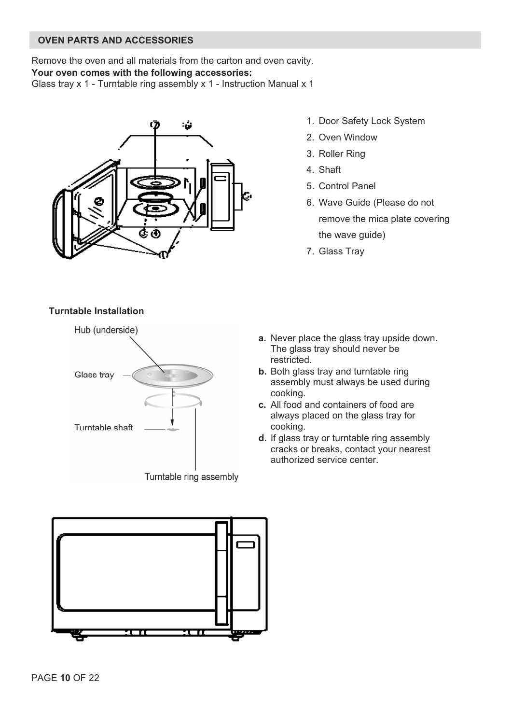## **OVEN PARTS AND ACCESSORIES**

Remove the oven and all materials from the carton and oven cavity. **Your oven comes with the following accessories:** 

Glass tray x 1 - Turntable ring assembly x 1 - Instruction Manual x 1



- 1. Door Safety Lock System
- 2. Oven Window
- 3. Roller Ring
- 4. Shaft
- 5. Control Panel
- 6. Wave Guide (Please do not remove the mica plate covering the wave guide)
- 7. Glass Tray

## **Turntable Installation**



Turntable ring assembly

- **a.** Never place the glass tray upside down. The glass tray should never be restricted.
- **b.** Both glass tray and turntable ring assembly must always be used during cooking.
- **c.** All food and containers of food are always placed on the glass tray for cooking.
- **d.** If glass tray or turntable ring assembly cracks or breaks, contact your nearest authorized service center.

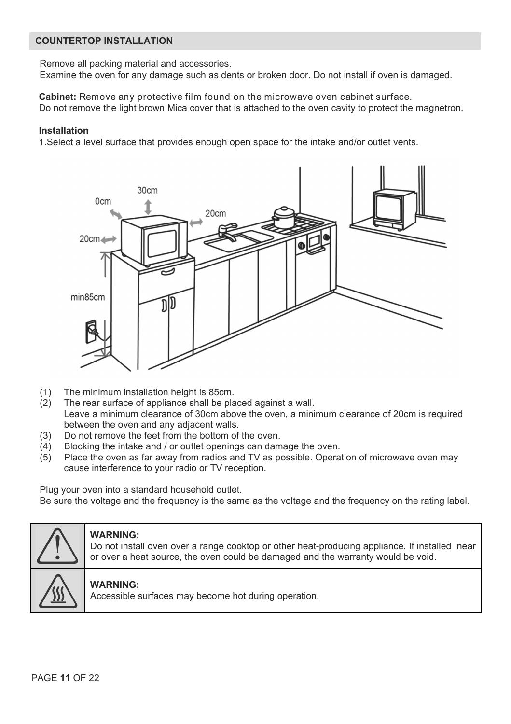## **COUNTERTOP INSTALLATION**

Remove all packing material and accessories.

Examine the oven for any damage such as dents or broken door. Do not install if oven is damaged.

**Cabinet:** Remove any protective film found on the microwave oven cabinet surface. Do not remove the light brown Mica cover that is attached to the oven cavity to protect the magnetron.

## **Installation**

1.Select a level surface that provides enough open space for the intake and/or outlet vents.



- (1) The minimum installation height is 85cm.
- (2) The rear surface of appliance shall be placed against a wall. Leave a minimum clearance of 30cm above the oven, a minimum clearance of 20cm is required between the oven and any adjacent walls.
- (3) Do not remove the feet from the bottom of the oven.
- (4) Blocking the intake and  $\ell$  or outlet openings can damage the oven.<br>(5) Place the oven as far away from radios and TV as possible. Opera
- Place the oven as far away from radios and TV as possible. Operation of microwave oven may cause interference to your radio or TV reception.

Plug your oven into a standard household outlet.

Be sure the voltage and the frequency is the same as the voltage and the frequency on the rating label.



## **WARNING:**

Do not install oven over a range cooktop or other heat-producing appliance. If installed near or over a heat source, the oven could be damaged and the warranty would be void.

## **WARNING:**

Accessible surfaces may become hot during operation.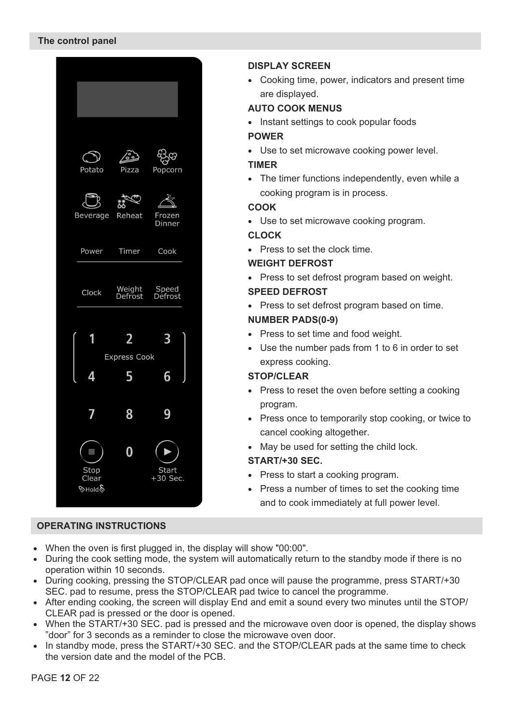

## **OPERATING INSTRUCTIONS**

- When the oven is first plugged in, the display will show "00:00".
- During the cook setting mode, the system will automatically return to the standby mode if there is no operation within 10 seconds.
- During cooking, pressing the STOP/CLEAR pad once will pause the programme, press START/+30 SEC. pad to resume, press the STOP/CLEAR pad twice to cancel the programme.
- After ending cooking, the screen will display End and emit a sound every two minutes until the STOP/ CLEAR pad is pressed or the door is opened.
- When the START/+30 SEC. pad is pressed and the microwave oven door is opened, the display shows "door" for 3 seconds as a reminder to close the microwave oven door.
- In standby mode, press the START/+30 SEC. and the STOP/CLEAR pads at the same time to check the version date and the model of the PCB.

## **DISPLAY SCREEN**

• Cooking time, power, indicators and present time are displayed.

## **AUTO COOK MENUS**

- Instant settings to cook popular foods **POWER**
- Use to set microwave cooking power level.

## **TIMER**

 $\bullet$  The timer functions independently, even while a cooking program is in process.

## **COOK**

Use to set microwave cooking program.

## **CLOCK**

Press to set the clock time.

## **WEIGHT DEFROST**

- Press to set defrost program based on weight. **SPEED DEFROST**
- Press to set defrost program based on time. **NUMBER PADS(0-9)**
- Press to set time and food weight.
- Use the number pads from 1 to 6 in order to set express cooking.

## **STOP/CLEAR**

- Press to reset the oven before setting a cooking program.
- Press once to temporarily stop cooking, or twice to cancel cooking altogether.
- May be used for setting the child lock.

## **START/+30 SEC.**

- Press to start a cooking program.
- Press a number of times to set the cooking time and to cook immediately at full power level.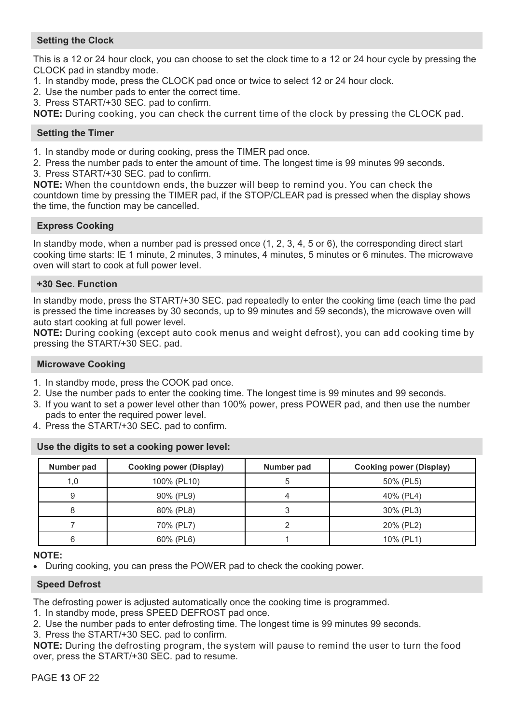## **Setting the Clock**

This is a 12 or 24 hour clock, you can choose to set the clock time to a 12 or 24 hour cycle by pressing the CLOCK pad in standby mode.

- 1. In standby mode, press the CLOCK pad once or twice to select 12 or 24 hour clock.
- 2. Use the number pads to enter the correct time.
- 3. Press START/+30 SEC. pad to confirm.

**NOTE:** During cooking, you can check the current time of the clock by pressing the CLOCK pad.

#### **Setting the Timer**

- 1. In standby mode or during cooking, press the TIMER pad once.
- 2. Press the number pads to enter the amount of time. The longest time is 99 minutes 99 seconds.
- 3. Press START/+30 SEC. pad to confirm.

**NOTE:** When the countdown ends, the buzzer will beep to remind you. You can check the countdown time by pressing the TIMER pad, if the STOP/CLEAR pad is pressed when the display shows the time, the function may be cancelled.

## **Express Cooking**

In standby mode, when a number pad is pressed once (1, 2, 3, 4, 5 or 6), the corresponding direct start cooking time starts: IE 1 minute, 2 minutes, 3 minutes, 4 minutes, 5 minutes or 6 minutes. The microwave oven will start to cook at full power level.

#### **+30 Sec. Function**

In standby mode, press the START/+30 SEC. pad repeatedly to enter the cooking time (each time the pad is pressed the time increases by 30 seconds, up to 99 minutes and 59 seconds), the microwave oven will auto start cooking at full power level.

**NOTE:** During cooking (except auto cook menus and weight defrost), you can add cooking time by pressing the START/+30 SEC. pad.

#### **Microwave Cooking**

- 1. In standby mode, press the COOK pad once.
- 2. Use the number pads to enter the cooking time. The longest time is 99 minutes and 99 seconds.
- 3. If you want to set a power level other than 100% power, press POWER pad, and then use the number pads to enter the required power level.
- 4. Press the START/+30 SEC. pad to confirm.

#### **Use the digits to set a cooking power level:**

| Number pad | Cooking power (Display) | Number pad | Cooking power (Display) |
|------------|-------------------------|------------|-------------------------|
| 1.0        | 100% (PL10)             |            | 50% (PL5)               |
| 9          | 90% (PL9)               |            | 40% (PL4)               |
|            | 80% (PL8)               |            | 30% (PL3)               |
|            | 70% (PL7)               |            | 20% (PL2)               |
| 6          | 60% (PL6)               |            | 10% (PL1)               |

#### **NOTE:**

• During cooking, you can press the POWER pad to check the cooking power.

## **Speed Defrost**

The defrosting power is adjusted automatically once the cooking time is programmed.

1. In standby mode, press SPEED DEFROST pad once.

- 2. Use the number pads to enter defrosting time. The longest time is 99 minutes 99 seconds.
- 3. Press the START/+30 SEC. pad to confirm.

**NOTE:** During the defrosting program, the system will pause to remind the user to turn the food over, press the START/+30 SEC. pad to resume.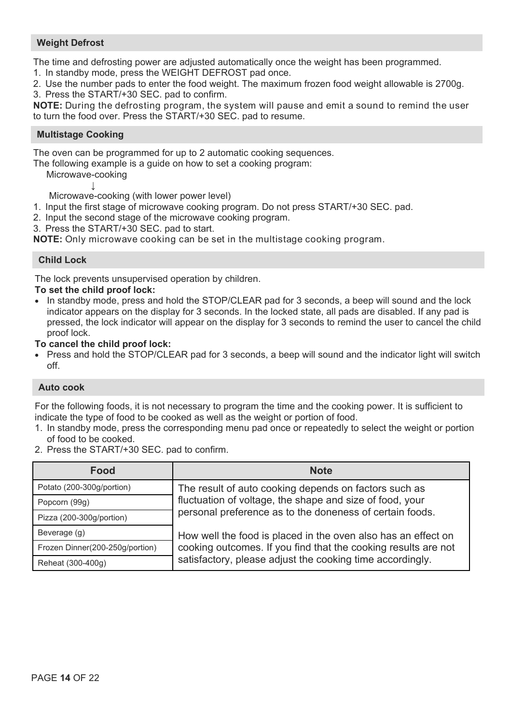#### **Weight Defrost**

The time and defrosting power are adjusted automatically once the weight has been programmed.

- 1. In standby mode, press the WEIGHT DEFROST pad once.
- 2. Use the number pads to enter the food weight. The maximum frozen food weight allowable is 2700g.
- 3. Press the START/+30 SEC. pad to confirm.

**NOTE:** During the defrosting program, the system will pause and emit a sound to remind the user to turn the food over. Press the START/+30 SEC. pad to resume.

## **Multistage Cooking**

The oven can be programmed for up to 2 automatic cooking sequences.

The following example is a guide on how to set a cooking program:

Microwave-cooking

 Ļ Microwave-cooking (with lower power level)

- 1. Input the first stage of microwave cooking program. Do not press START/+30 SEC. pad.
- 2. Input the second stage of the microwave cooking program.
- 3. Press the START/+30 SEC. pad to start.

**NOTE:** Only microwave cooking can be set in the multistage cooking program.

## **Child Lock**

The lock prevents unsupervised operation by children.

#### **To set the child proof lock:**

• In standby mode, press and hold the STOP/CLEAR pad for 3 seconds, a beep will sound and the lock indicator appears on the display for 3 seconds. In the locked state, all pads are disabled. If any pad is pressed, the lock indicator will appear on the display for 3 seconds to remind the user to cancel the child proof lock.

#### **To cancel the child proof lock:**

• Press and hold the STOP/CLEAR pad for 3 seconds, a beep will sound and the indicator light will switch off.

### **Auto cook**

For the following foods, it is not necessary to program the time and the cooking power. It is sufficient to indicate the type of food to be cooked as well as the weight or portion of food.

- 1. In standby mode, press the corresponding menu pad once or repeatedly to select the weight or portion of food to be cooked.
- 2. Press the START/+30 SEC. pad to confirm.

| Food                            | <b>Note</b>                                                                                                                                                                                  |  |
|---------------------------------|----------------------------------------------------------------------------------------------------------------------------------------------------------------------------------------------|--|
| Potato (200-300g/portion)       | The result of auto cooking depends on factors such as<br>fluctuation of voltage, the shape and size of food, your                                                                            |  |
| Popcorn (99g)                   |                                                                                                                                                                                              |  |
| Pizza (200-300g/portion)        | personal preference as to the doneness of certain foods.                                                                                                                                     |  |
| Beverage (g)                    | How well the food is placed in the oven also has an effect on<br>cooking outcomes. If you find that the cooking results are not<br>satisfactory, please adjust the cooking time accordingly. |  |
| Frozen Dinner(200-250g/portion) |                                                                                                                                                                                              |  |
| Reheat (300-400g)               |                                                                                                                                                                                              |  |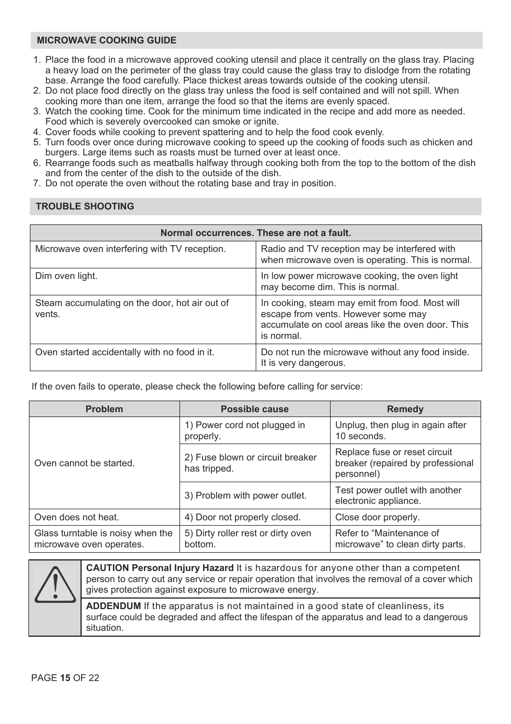## **MICROWAVE COOKING GUIDE**

- 1. Place the food in a microwave approved cooking utensil and place it centrally on the glass tray. Placing a heavy load on the perimeter of the glass tray could cause the glass tray to dislodge from the rotating base. Arrange the food carefully. Place thickest areas towards outside of the cooking utensil.
- 2. Do not place food directly on the glass tray unless the food is self contained and will not spill. When cooking more than one item, arrange the food so that the items are evenly spaced.
- 3. Watch the cooking time. Cook for the minimum time indicated in the recipe and add more as needed. Food which is severely overcooked can smoke or ignite.
- 4. Cover foods while cooking to prevent spattering and to help the food cook evenly.
- 5. Turn foods over once during microwave cooking to speed up the cooking of foods such as chicken and burgers. Large items such as roasts must be turned over at least once.
- 6. Rearrange foods such as meatballs halfway through cooking both from the top to the bottom of the dish and from the center of the dish to the outside of the dish.
- 7. Do not operate the oven without the rotating base and tray in position.

## **TROUBLE SHOOTING**

| Normal occurrences. These are not a fault.               |                                                                                                                                                           |  |
|----------------------------------------------------------|-----------------------------------------------------------------------------------------------------------------------------------------------------------|--|
| Microwave oven interfering with TV reception.            | Radio and TV reception may be interfered with<br>when microwave oven is operating. This is normal.                                                        |  |
| Dim oven light.                                          | In low power microwave cooking, the oven light<br>may become dim. This is normal.                                                                         |  |
| Steam accumulating on the door, hot air out of<br>vents. | In cooking, steam may emit from food. Most will<br>escape from vents. However some may<br>accumulate on cool areas like the oven door. This<br>is normal. |  |
| Oven started accidentally with no food in it.            | Do not run the microwave without any food inside.<br>It is very dangerous.                                                                                |  |

If the oven fails to operate, please check the following before calling for service:

| <b>Problem</b>                                                | Possible cause                                   | Remedy                                                                           |
|---------------------------------------------------------------|--------------------------------------------------|----------------------------------------------------------------------------------|
| Oven cannot be started.                                       | 1) Power cord not plugged in<br>properly.        | Unplug, then plug in again after<br>10 seconds.                                  |
|                                                               | 2) Fuse blown or circuit breaker<br>has tripped. | Replace fuse or reset circuit<br>breaker (repaired by professional<br>personnel) |
|                                                               | 3) Problem with power outlet.                    | Test power outlet with another<br>electronic appliance.                          |
| Oven does not heat.                                           | 4) Door not properly closed.                     | Close door properly.                                                             |
| Glass turntable is noisy when the<br>microwave oven operates. | 5) Dirty roller rest or dirty oven<br>bottom.    | Refer to "Maintenance of<br>microwave" to clean dirty parts.                     |



**CAUTION Personal Injury Hazard** It is hazardous for anyone other than a competent person to carry out any service or repair operation that involves the removal of a cover which gives protection against exposure to microwave energy.

**ADDENDUM** If the apparatus is not maintained in a good state of cleanliness, its surface could be degraded and affect the lifespan of the apparatus and lead to a dangerous situation.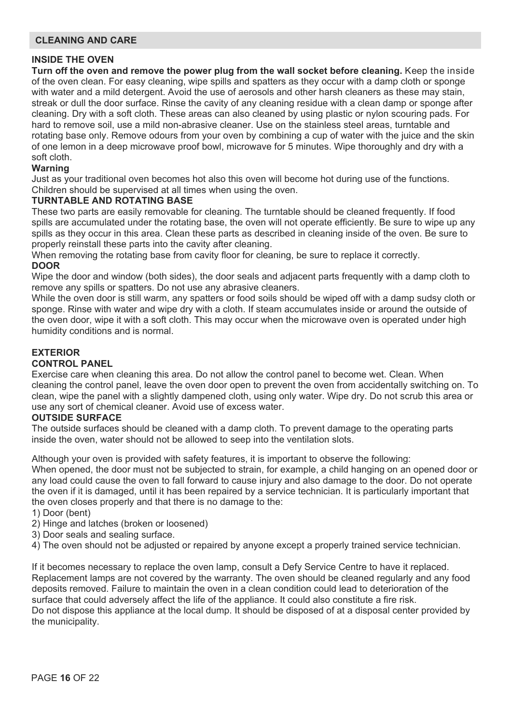## **CLEANING AND CARE**

## **INSIDE THE OVEN**

**Turn off the oven and remove the power plug from the wall socket before cleaning.** Keep the inside of the oven clean. For easy cleaning, wipe spills and spatters as they occur with a damp cloth or sponge with water and a mild detergent. Avoid the use of aerosols and other harsh cleaners as these may stain, streak or dull the door surface. Rinse the cavity of any cleaning residue with a clean damp or sponge after cleaning. Dry with a soft cloth. These areas can also cleaned by using plastic or nylon scouring pads. For hard to remove soil, use a mild non-abrasive cleaner. Use on the stainless steel areas, turntable and rotating base only. Remove odours from your oven by combining a cup of water with the juice and the skin of one lemon in a deep microwave proof bowl, microwave for 5 minutes. Wipe thoroughly and dry with a soft cloth.

## **Warning**

Just as your traditional oven becomes hot also this oven will become hot during use of the functions. Children should be supervised at all times when using the oven.

#### **TURNTABLE AND ROTATING BASE**

These two parts are easily removable for cleaning. The turntable should be cleaned frequently. If food spills are accumulated under the rotating base, the oven will not operate efficiently. Be sure to wipe up any spills as they occur in this area. Clean these parts as described in cleaning inside of the oven. Be sure to properly reinstall these parts into the cavity after cleaning.

When removing the rotating base from cavity floor for cleaning, be sure to replace it correctly. **DOOR** 

Wipe the door and window (both sides), the door seals and adjacent parts frequently with a damp cloth to remove any spills or spatters. Do not use any abrasive cleaners.

While the oven door is still warm, any spatters or food soils should be wiped off with a damp sudsy cloth or sponge. Rinse with water and wipe dry with a cloth. If steam accumulates inside or around the outside of the oven door, wipe it with a soft cloth. This may occur when the microwave oven is operated under high humidity conditions and is normal.

## **EXTERIOR**

## **CONTROL PANEL**

Exercise care when cleaning this area. Do not allow the control panel to become wet. Clean. When cleaning the control panel, leave the oven door open to prevent the oven from accidentally switching on. To clean, wipe the panel with a slightly dampened cloth, using only water. Wipe dry. Do not scrub this area or use any sort of chemical cleaner. Avoid use of excess water.

#### **OUTSIDE SURFACE**

The outside surfaces should be cleaned with a damp cloth. To prevent damage to the operating parts inside the oven, water should not be allowed to seep into the ventilation slots.

Although your oven is provided with safety features, it is important to observe the following: When opened, the door must not be subjected to strain, for example, a child hanging on an opened door or any load could cause the oven to fall forward to cause injury and also damage to the door. Do not operate the oven if it is damaged, until it has been repaired by a service technician. It is particularly important that the oven closes properly and that there is no damage to the:

1) Door (bent)

- 2) Hinge and latches (broken or loosened)
- 3) Door seals and sealing surface.
- 4) The oven should not be adjusted or repaired by anyone except a properly trained service technician.

If it becomes necessary to replace the oven lamp, consult a Defy Service Centre to have it replaced. Replacement lamps are not covered by the warranty. The oven should be cleaned regularly and any food deposits removed. Failure to maintain the oven in a clean condition could lead to deterioration of the surface that could adversely affect the life of the appliance. It could also constitute a fire risk. Do not dispose this appliance at the local dump. It should be disposed of at a disposal center provided by the municipality.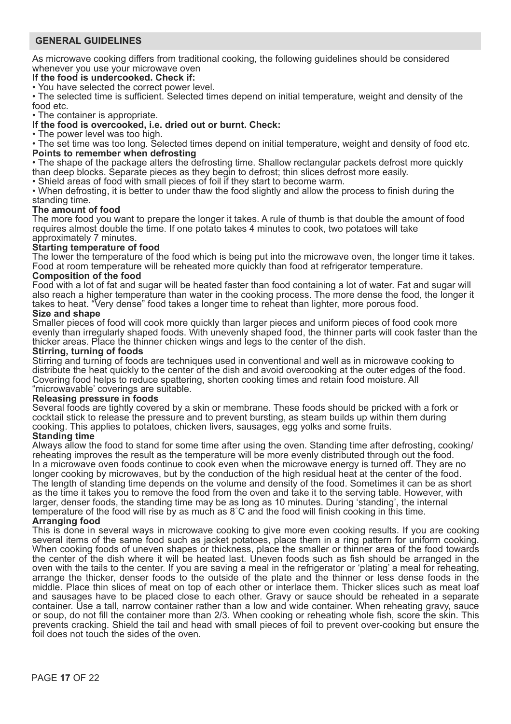## **GENERAL GUIDELINES**

As microwave cooking differs from traditional cooking, the following guidelines should be considered whenever you use your microwave oven

#### **If the food is undercooked. Check if:**

• You have selected the correct power level.

• The selected time is sufficient. Selected times depend on initial temperature, weight and density of the food etc.

• The container is appropriate.

## **If the food is overcooked, i.e. dried out or burnt. Check:**

• The power level was too high.

• The set time was too long. Selected times depend on initial temperature, weight and density of food etc. **Points to remember when defrosting** 

• The shape of the package alters the defrosting time. Shallow rectangular packets defrost more quickly than deep blocks. Separate pieces as they begin to defrost; thin slices defrost more easily.

• Shield areas of food with small pieces of foil if they start to become warm.

• When defrosting, it is better to under thaw the food slightly and allow the process to finish during the standing time.

#### **The amount of food**

The more food you want to prepare the longer it takes. A rule of thumb is that double the amount of food requires almost double the time. If one potato takes 4 minutes to cook, two potatoes will take approximately 7 minutes.

#### **Starting temperature of food**

The lower the temperature of the food which is being put into the microwave oven, the longer time it takes. Food at room temperature will be reheated more quickly than food at refrigerator temperature.

## **Composition of the food**

Food with a lot of fat and sugar will be heated faster than food containing a lot of water. Fat and sugar will also reach a higher temperature than water in the cooking process. The more dense the food, the longer it takes to heat. "Very dense" food takes a longer time to reheat than lighter, more porous food.

## **Size and shape**

Smaller pieces of food will cook more quickly than larger pieces and uniform pieces of food cook more evenly than irregularly shaped foods. With unevenly shaped food, the thinner parts will cook faster than the thicker areas. Place the thinner chicken wings and legs to the center of the dish.

#### **Stirring, turning of foods**

Stirring and turning of foods are techniques used in conventional and well as in microwave cooking to distribute the heat quickly to the center of the dish and avoid overcooking at the outer edges of the food. Covering food helps to reduce spattering, shorten cooking times and retain food moisture. All "microwavable' coverings are suitable.

#### **Releasing pressure in foods**

Several foods are tightly covered by a skin or membrane. These foods should be pricked with a fork or cocktail stick to release the pressure and to prevent bursting, as steam builds up within them during cooking. This applies to potatoes, chicken livers, sausages, egg yolks and some fruits.

#### **Standing time**

Always allow the food to stand for some time after using the oven. Standing time after defrosting, cooking/ reheating improves the result as the temperature will be more evenly distributed through out the food. In a microwave oven foods continue to cook even when the microwave energy is turned off. They are no longer cooking by microwaves, but by the conduction of the high residual heat at the center of the food. The length of standing time depends on the volume and density of the food. Sometimes it can be as short as the time it takes you to remove the food from the oven and take it to the serving table. However, with larger, denser foods, the standing time may be as long as 10 minutes. During 'standing', the internal temperature of the food will rise by as much as 8˚C and the food will finish cooking in this time.

#### **Arranging food**

This is done in several ways in microwave cooking to give more even cooking results. If you are cooking several items of the same food such as jacket potatoes, place them in a ring pattern for uniform cooking. When cooking foods of uneven shapes or thickness, place the smaller or thinner area of the food towards the center of the dish where it will be heated last. Uneven foods such as fish should be arranged in the oven with the tails to the center. If you are saving a meal in the refrigerator or 'plating' a meal for reheating, arrange the thicker, denser foods to the outside of the plate and the thinner or less dense foods in the middle. Place thin slices of meat on top of each other or interlace them. Thicker slices such as meat loaf and sausages have to be placed close to each other. Gravy or sauce should be reheated in a separate container. Use a tall, narrow container rather than a low and wide container. When reheating gravy, sauce or soup, do not fill the container more than 2/3. When cooking or reheating whole fish, score the skin. This prevents cracking. Shield the tail and head with small pieces of foil to prevent over-cooking but ensure the foil does not touch the sides of the oven.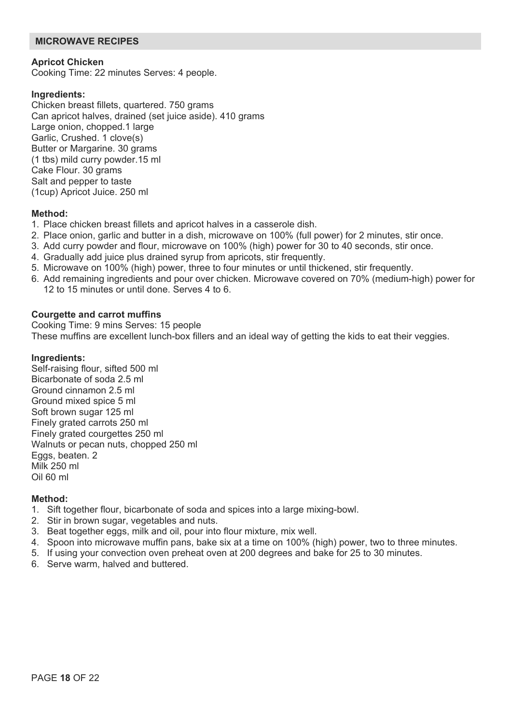## **MICROWAVE RECIPES**

### **Apricot Chicken**

Cooking Time: 22 minutes Serves: 4 people.

#### **Ingredients:**

Chicken breast fillets, quartered. 750 grams Can apricot halves, drained (set juice aside). 410 grams Large onion, chopped.1 large Garlic, Crushed. 1 clove(s) Butter or Margarine. 30 grams (1 tbs) mild curry powder.15 ml Cake Flour. 30 grams Salt and pepper to taste (1cup) Apricot Juice. 250 ml

#### **Method:**

- 1. Place chicken breast fillets and apricot halves in a casserole dish.
- 2. Place onion, garlic and butter in a dish, microwave on 100% (full power) for 2 minutes, stir once.
- 3. Add curry powder and flour, microwave on 100% (high) power for 30 to 40 seconds, stir once.
- 4. Gradually add juice plus drained syrup from apricots, stir frequently.
- 5. Microwave on 100% (high) power, three to four minutes or until thickened, stir frequently.
- 6. Add remaining ingredients and pour over chicken. Microwave covered on 70% (medium-high) power for 12 to 15 minutes or until done. Serves 4 to 6.

#### **Courgette and carrot muffins**

Cooking Time: 9 mins Serves: 15 people These muffins are excellent lunch-box fillers and an ideal way of getting the kids to eat their veggies.

## **Ingredients:**

Self-raising flour, sifted 500 ml Bicarbonate of soda 2.5 ml Ground cinnamon 2.5 ml Ground mixed spice 5 ml Soft brown sugar 125 ml Finely grated carrots 250 ml Finely grated courgettes 250 ml Walnuts or pecan nuts, chopped 250 ml Eggs, beaten. 2 Milk 250 ml Oil 60 ml

#### **Method:**

- 1. Sift together flour, bicarbonate of soda and spices into a large mixing-bowl.
- 2. Stir in brown sugar, vegetables and nuts.
- 3. Beat together eggs, milk and oil, pour into flour mixture, mix well.
- 4. Spoon into microwave muffin pans, bake six at a time on 100% (high) power, two to three minutes.
- 5. If using your convection oven preheat oven at 200 degrees and bake for 25 to 30 minutes.
- 6. Serve warm, halved and buttered.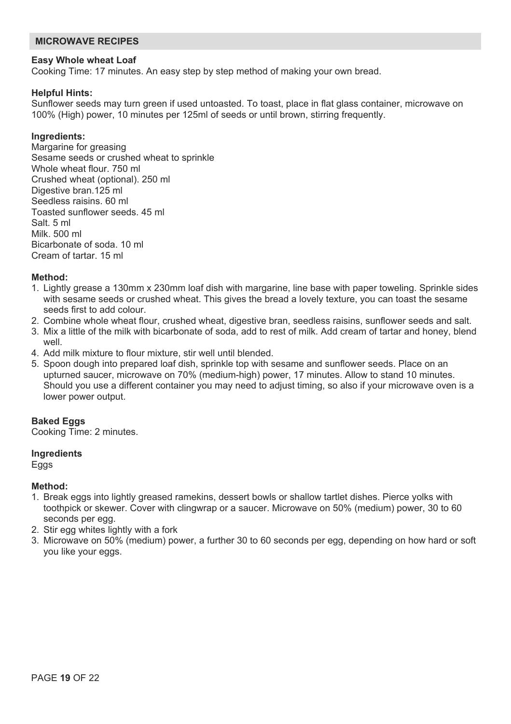#### **MICROWAVE RECIPES**

#### **Easy Whole wheat Loaf**

Cooking Time: 17 minutes. An easy step by step method of making your own bread.

#### **Helpful Hints:**

Sunflower seeds may turn green if used untoasted. To toast, place in flat glass container, microwave on 100% (High) power, 10 minutes per 125ml of seeds or until brown, stirring frequently.

## **Ingredients:**

Margarine for greasing Sesame seeds or crushed wheat to sprinkle Whole wheat flour. 750 ml Crushed wheat (optional). 250 ml Digestive bran.125 ml Seedless raisins. 60 ml Toasted sunflower seeds. 45 ml Salt. 5 ml Milk. 500 ml Bicarbonate of soda. 10 ml Cream of tartar. 15 ml

## **Method:**

- 1. Lightly grease a 130mm x 230mm loaf dish with margarine, line base with paper toweling. Sprinkle sides with sesame seeds or crushed wheat. This gives the bread a lovely texture, you can toast the sesame seeds first to add colour.
- 2. Combine whole wheat flour, crushed wheat, digestive bran, seedless raisins, sunflower seeds and salt.
- 3. Mix a little of the milk with bicarbonate of soda, add to rest of milk. Add cream of tartar and honey, blend well.
- 4. Add milk mixture to flour mixture, stir well until blended.
- 5. Spoon dough into prepared loaf dish, sprinkle top with sesame and sunflower seeds. Place on an upturned saucer, microwave on 70% (medium-high) power, 17 minutes. Allow to stand 10 minutes. Should you use a different container you may need to adjust timing, so also if your microwave oven is a lower power output.

#### **Baked Eggs**

Cooking Time: 2 minutes.

#### **Ingredients**

Eggs

## **Method:**

- 1. Break eggs into lightly greased ramekins, dessert bowls or shallow tartlet dishes. Pierce yolks with toothpick or skewer. Cover with clingwrap or a saucer. Microwave on 50% (medium) power, 30 to 60 seconds per egg.
- 2. Stir egg whites lightly with a fork
- 3. Microwave on 50% (medium) power, a further 30 to 60 seconds per egg, depending on how hard or soft you like your eggs.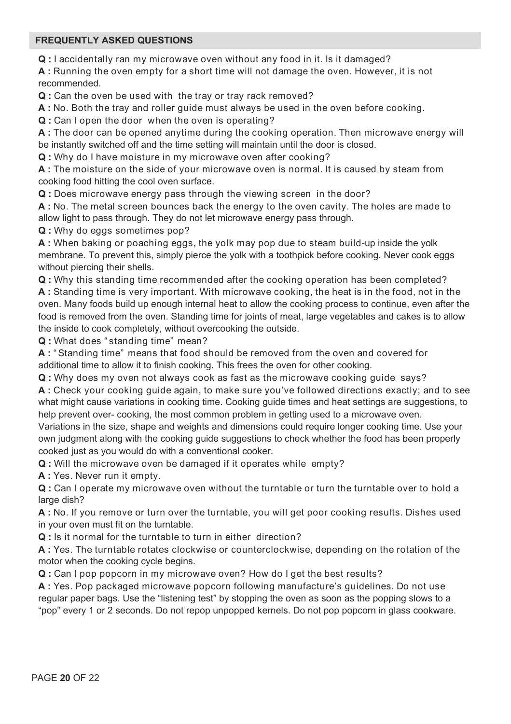## **FREQUENTLY ASKED QUESTIONS**

**Q :** I accidentally ran my microwave oven without any food in it. Is it damaged?

**A :** Running the oven empty for a short time will not damage the oven. However, it is not recommended.

**Q :** Can the oven be used with the tray or tray rack removed?

**A :** No. Both the tray and roller guide must always be used in the oven before cooking.

**Q :** Can I open the door when the oven is operating?

**A :** The door can be opened anytime during the cooking operation. Then microwave energy will be instantly switched off and the time setting will maintain until the door is closed.

**Q :** Why do I have moisture in my microwave oven after cooking?

**A :** The moisture on the side of your microwave oven is normal. It is caused by steam from cooking food hitting the cool oven surface.

**Q :** Does microwave energy pass through the viewing screen in the door?

**A :** No. The metal screen bounces back the energy to the oven cavity. The holes are made to allow light to pass through. They do not let microwave energy pass through.

**Q :** Why do eggs sometimes pop?

**A :** When baking or poaching eggs, the yolk may pop due to steam build-up inside the yolk membrane. To prevent this, simply pierce the yolk with a toothpick before cooking. Never cook eggs without piercing their shells.

**Q :** Why this standing time recommended after the cooking operation has been completed?

**A :** Standing time is very important. With microwave cooking, the heat is in the food, not in the oven. Many foods build up enough internal heat to allow the cooking process to continue, even after the food is removed from the oven. Standing time for joints of meat, large vegetables and cakes is to allow the inside to cook completely, without overcooking the outside.

**Q :** What does " standing time" mean?

**A :** " Standing time" means that food should be removed from the oven and covered for additional time to allow it to finish cooking. This frees the oven for other cooking.

**Q :** Why does my oven not always cook as fast as the microwave cooking guide says?

**A :** Check your cooking guide again, to make sure you've followed directions exactly; and to see what might cause variations in cooking time. Cooking guide times and heat settings are suggestions, to help prevent over- cooking, the most common problem in getting used to a microwave oven.

Variations in the size, shape and weights and dimensions could require longer cooking time. Use your own judgment along with the cooking guide suggestions to check whether the food has been properly cooked just as you would do with a conventional cooker.

**Q :** Will the microwave oven be damaged if it operates while empty?

**A :** Yes. Never run it empty.

**Q :** Can I operate my microwave oven without the turntable or turn the turntable over to hold a large dish?

**A :** No. If you remove or turn over the turntable, you will get poor cooking results. Dishes used in your oven must fit on the turntable.

**Q :** Is it normal for the turntable to turn in either direction?

**A :** Yes. The turntable rotates clockwise or counterclockwise, depending on the rotation of the motor when the cooking cycle begins.

**Q :** Can I pop popcorn in my microwave oven? How do I get the best results?

**A :** Yes. Pop packaged microwave popcorn following manufacture's guidelines. Do not use regular paper bags. Use the "listening test" by stopping the oven as soon as the popping slows to a "pop" every 1 or 2 seconds. Do not repop unpopped kernels. Do not pop popcorn in glass cookware.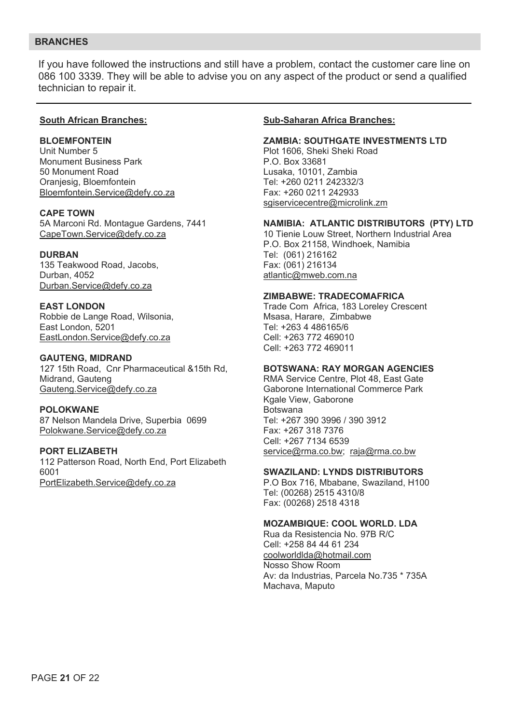### **BRANCHES**

If you have followed the instructions and still have a problem, contact the customer care line on 086 100 3339. They will be able to advise you on any aspect of the product or send a qualified technician to repair it.

#### **South African Branches:**

#### **BLOEMFONTEIN**

Unit Number 5 Monument Business Park 50 Monument Road Oranjesig, Bloemfontein Bloemfontein.Service@defy.co.za

#### **CAPE TOWN**

5A Marconi Rd. Montague Gardens, 7441 CapeTown.Service@defy.co.za

#### **DURBAN**

135 Teakwood Road, Jacobs, Durban, 4052 Durban.Service@defy.co.za

**EAST LONDON**  Robbie de Lange Road, Wilsonia, East London, 5201 EastLondon.Service@defy.co.za

#### **GAUTENG, MIDRAND**  127 15th Road, Cnr Pharmaceutical &15th Rd, Midrand, Gauteng

Gauteng.Service@defy.co.za

#### **POLOKWANE**

87 Nelson Mandela Drive, Superbia 0699 Polokwane.Service@defy.co.za

#### **PORT ELIZABETH**

112 Patterson Road, North End, Port Elizabeth 6001 PortElizabeth.Service@defy.co.za

#### **Sub-Saharan Africa Branches:**

#### **ZAMBIA: SOUTHGATE INVESTMENTS LTD**

Plot 1606, Sheki Sheki Road P.O. Box 33681 Lusaka, 10101, Zambia Tel: +260 0211 242332/3 Fax: +260 0211 242933 sgiservicecentre@microlink.zm

#### **NAMIBIA: ATLANTIC DISTRIBUTORS (PTY) LTD**

10 Tienie Louw Street, Northern Industrial Area P.O. Box 21158, Windhoek, Namibia Tel: (061) 216162 Fax: (061) 216134 atlantic@mweb.com.na

#### **ZIMBABWE: TRADECOMAFRICA**

Trade Com Africa, 183 Loreley Crescent Msasa, Harare, Zimbabwe Tel: +263 4 486165/6 Cell: +263 772 469010 Cell: +263 772 469011

#### **BOTSWANA: RAY MORGAN AGENCIES**

RMA Service Centre, Plot 48, East Gate Gaborone International Commerce Park Kgale View, Gaborone Botswana Tel: +267 390 3996 / 390 3912 Fax: +267 318 7376 Cell: +267 7134 6539 service@rma.co.bw; raja@rma.co.bw

#### **SWAZILAND: LYNDS DISTRIBUTORS**

P.O Box 716, Mbabane, Swaziland, H100 Tel: (00268) 2515 4310/8 Fax: (00268) 2518 4318

#### **MOZAMBIQUE: COOL WORLD. LDA**

Rua da Resistencia No. 97B R/C Cell: +258 84 44 61 234 coolworldlda@hotmail.com Nosso Show Room Av: da Industrias, Parcela No.735 \* 735A Machava, Maputo